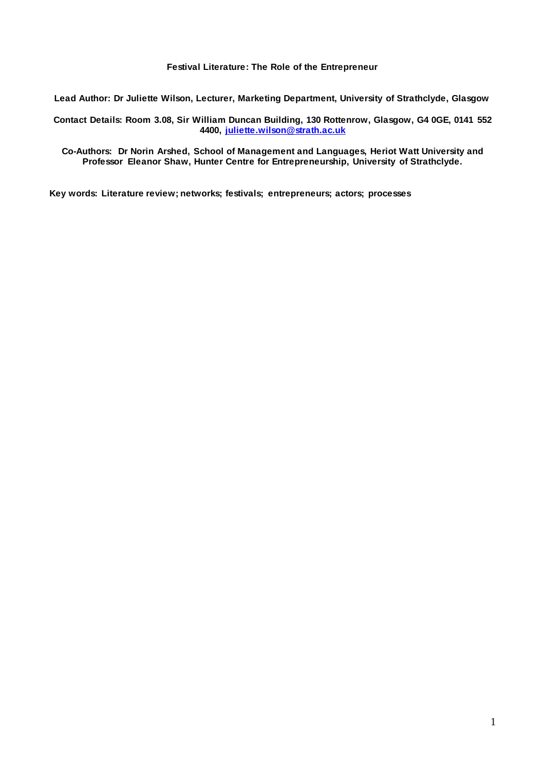# **Festival Literature: The Role of the Entrepreneur**

**Lead Author: Dr Juliette Wilson, Lecturer, Marketing Department, University of Strathclyde, Glasgow**

**Contact Details: Room 3.08, Sir William Duncan Building, 130 Rottenrow, Glasgow, G4 0GE, 0141 552 4400, [juliette.wilson@strath.ac.uk](mailto:juliette.wilson@strath.ac.uk)**

**Co-Authors: Dr Norin Arshed, School of Management and Languages, Heriot Watt University and Professor Eleanor Shaw, Hunter Centre for Entrepreneurship, University of Strathclyde.**

**Key words: Literature review; networks; festivals; entrepreneurs; actors; processes**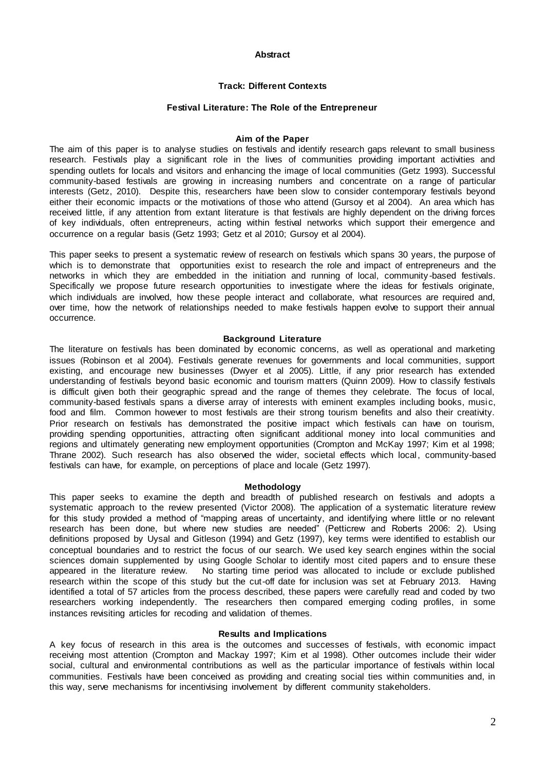## **Abstract**

# **Track: Different Contexts**

## **Festival Literature: The Role of the Entrepreneur**

#### **Aim of the Paper**

The aim of this paper is to analyse studies on festivals and identify research gaps relevant to small business research. Festivals play a significant role in the lives of communities providing important activities and spending outlets for locals and visitors and enhancing the image of local communities (Getz 1993). Successful community-based festivals are growing in increasing numbers and concentrate on a range of particular interests (Getz, 2010). Despite this, researchers have been slow to consider contemporary festivals beyond either their economic impacts or the motivations of those who attend (Gursoy et al 2004). An area which has received little, if any attention from extant literature is that festivals are highly dependent on the driving forces of key individuals, often entrepreneurs, acting within festival networks which support their emergence and occurrence on a regular basis (Getz 1993; Getz et al 2010; Gursoy et al 2004).

This paper seeks to present a systematic review of research on festivals which spans 30 years, the purpose of which is to demonstrate that opportunities exist to research the role and impact of entrepreneurs and the networks in which they are embedded in the initiation and running of local, community -based festivals. Specifically we propose future research opportunities to investigate where the ideas for festivals originate, which individuals are involved, how these people interact and collaborate, what resources are required and, over time, how the network of relationships needed to make festivals happen evolve to support their annual occurrence.

#### **Background Literature**

The literature on festivals has been dominated by economic concerns, as well as operational and marketing issues (Robinson et al 2004). Festivals generate revenues for governments and local communities, support existing, and encourage new businesses (Dwyer et al 2005). Little, if any prior research has extended understanding of festivals beyond basic economic and tourism matters (Quinn 2009). How to classify festivals is difficult given both their geographic spread and the range of themes they celebrate. The focus of local, community-based festivals spans a diverse array of interests with eminent examples including books, music, food and film. Common however to most festivals are their strong tourism benefits and also their creativity. Prior research on festivals has demonstrated the positive impact which festivals can have on tourism, providing spending opportunities, attracting often significant additional money into local communities and regions and ultimately generating new employment opportunities (Crompton and McKay 1997; Kim et al 1998; Thrane 2002). Such research has also observed the wider, societal effects which local, community-based festivals can have, for example, on perceptions of place and locale (Getz 1997).

#### **Methodology**

This paper seeks to examine the depth and breadth of published research on festivals and adopts a systematic approach to the review presented (Victor 2008). The application of a systematic literature review for this study provided a method of "mapping areas of uncertainty, and identifying where little or no relevant research has been done, but where new studies are needed" (Petticrew and Roberts 2006: 2). Using definitions proposed by Uysal and Gitleson (1994) and Getz (1997), key terms were identified to establish our conceptual boundaries and to restrict the focus of our search. We used key search engines within the social sciences domain supplemented by using Google Scholar to identify most cited papers and to ensure these appeared in the literature review. No starting time period was allocated to include or exclude published No starting time period was allocated to include or exclude published research within the scope of this study but the cut-off date for inclusion was set at February 2013. Having identified a total of 57 articles from the process described, these papers were carefully read and coded by two researchers working independently. The researchers then compared emerging coding profiles, in some instances revisiting articles for recoding and validation of themes.

#### **Results and Implications**

A key focus of research in this area is the outcomes and successes of festivals, with economic impact receiving most attention (Crompton and Mackay 1997; Kim et al 1998). Other outcomes include their wider social, cultural and environmental contributions as well as the particular importance of festivals within local communities. Festivals have been conceived as providing and creating social ties within communities and, in this way, serve mechanisms for incentivising involvement by different community stakeholders.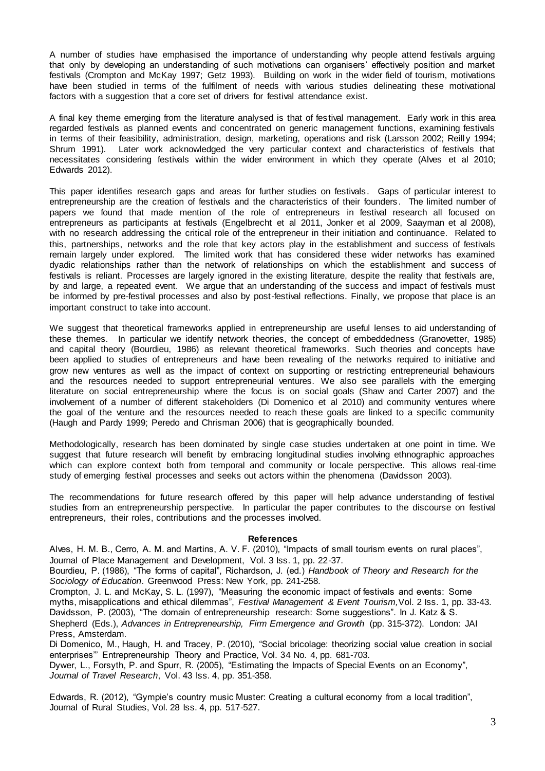A number of studies have emphasised the importance of understanding why people attend festivals arguing that only by developing an understanding of such motivations can organisers' effectively position and market festivals (Crompton and McKay 1997; Getz 1993). Building on work in the wider field of tourism, motivations have been studied in terms of the fulfilment of needs with various studies delineating these motivational factors with a suggestion that a core set of drivers for festival attendance exist.

A final key theme emerging from the literature analysed is that of festival management. Early work in this area regarded festivals as planned events and concentrated on generic management functions, examining festivals in terms of their feasibility, administration, design, marketing, operations and risk (Larsson 2002; Reill y 1994; Shrum 1991). Later work acknowledged the very particular context and characteristics of festivals that necessitates considering festivals within the wider environment in which they operate (Alves et al 2010; Edwards 2012).

This paper identifies research gaps and areas for further studies on festivals. Gaps of particular interest to entrepreneurship are the creation of festivals and the characteristics of their founders . The limited number of papers we found that made mention of the role of entrepreneurs in festival research all focused on entrepreneurs as participants at festivals (Engelbrecht et al 2011, Jonker et al 2009, Saayman et al 2008), with no research addressing the critical role of the entrepreneur in their initiation and continuance. Related to this, partnerships, networks and the role that key actors play in the establishment and success of festivals remain largely under explored. The limited work that has considered these wider networks has examined dyadic relationships rather than the network of relationships on which the establishment and success of festivals is reliant. Processes are largely ignored in the existing literature, despite the reality that festivals are, by and large, a repeated event. We argue that an understanding of the success and impact of festivals must be informed by pre-festival processes and also by post-festival reflections. Finally, we propose that place is an important construct to take into account.

We suggest that theoretical frameworks applied in entrepreneurship are useful lenses to aid understanding of these themes. In particular we identify network theories, the concept of embeddedness (Granovetter, 1985) and capital theory (Bourdieu, 1986) as relevant theoretical frameworks. Such theories and concepts have been applied to studies of entrepreneurs and have been revealing of the networks required to initiative and grow new ventures as well as the impact of context on supporting or restricting entrepreneurial behaviours and the resources needed to support entrepreneurial ventures. We also see parallels with the emerging literature on social entrepreneurship where the focus is on social goals (Shaw and Carter 2007) and the involvement of a number of different stakeholders (Di Domenico et al 2010) and community ventures where the goal of the venture and the resources needed to reach these goals are linked to a specific community (Haugh and Pardy 1999; Peredo and Chrisman 2006) that is geographically bounded.

Methodologically, research has been dominated by single case studies undertaken at one point in time. We suggest that future research will benefit by embracing longitudinal studies involving ethnographic approaches which can explore context both from temporal and community or locale perspective. This allows real-time study of emerging festival processes and seeks out actors within the phenomena (Davidsson 2003).

The recommendations for future research offered by this paper will help advance understanding of festival studies from an entrepreneurship perspective. In particular the paper contributes to the discourse on festival entrepreneurs, their roles, contributions and the processes involved.

#### **References**

Alves, H. M. B., Cerro, A. M. and Martins, A. V. F. (2010), "Impacts of small tourism events on rural places", Journal of Place Management and Development, Vol. 3 Iss. 1, pp. 22-37.

Bourdieu, P. (1986), "The forms of capital", Richardson, J. (ed.) *Handbook of Theory and Research for the Sociology of Education*. Greenwood Press: New York, pp. 241-258.

Crompton, J. L. and McKay, S. L. (1997), "Measuring the economic impact of festivals and events: Some myths, misapplications and ethical dilemmas", *Festival Management & Event Tourism,*Vol. 2 Iss. 1, pp. 33-43. Davidsson, P. (2003), "The domain of entrepreneurship research: Some suggestions". In J. Katz & S. Shepherd (Eds.), *Advances in Entrepreneurship, Firm Emergence and Growth* (pp. 315-372). London: JAI Press, Amsterdam.

Di Domenico, M., Haugh, H. and Tracey, P. (2010), "Social bricolage: theorizing social value creation in social enterprises"' Entrepreneurship Theory and Practice, Vol. 34 No. 4, pp. 681-703.

Dywer, L., Forsyth, P. and Spurr, R. (2005), "Estimating the Impacts of Special Events on an Economy", *Journal of Travel Research*, Vol. 43 Iss. 4, pp. 351-358.

Edwards, R. (2012), "Gympie's country music Muster: Creating a cultural economy from a local tradition", Journal of Rural Studies, Vol. 28 Iss. 4, pp. 517-527.